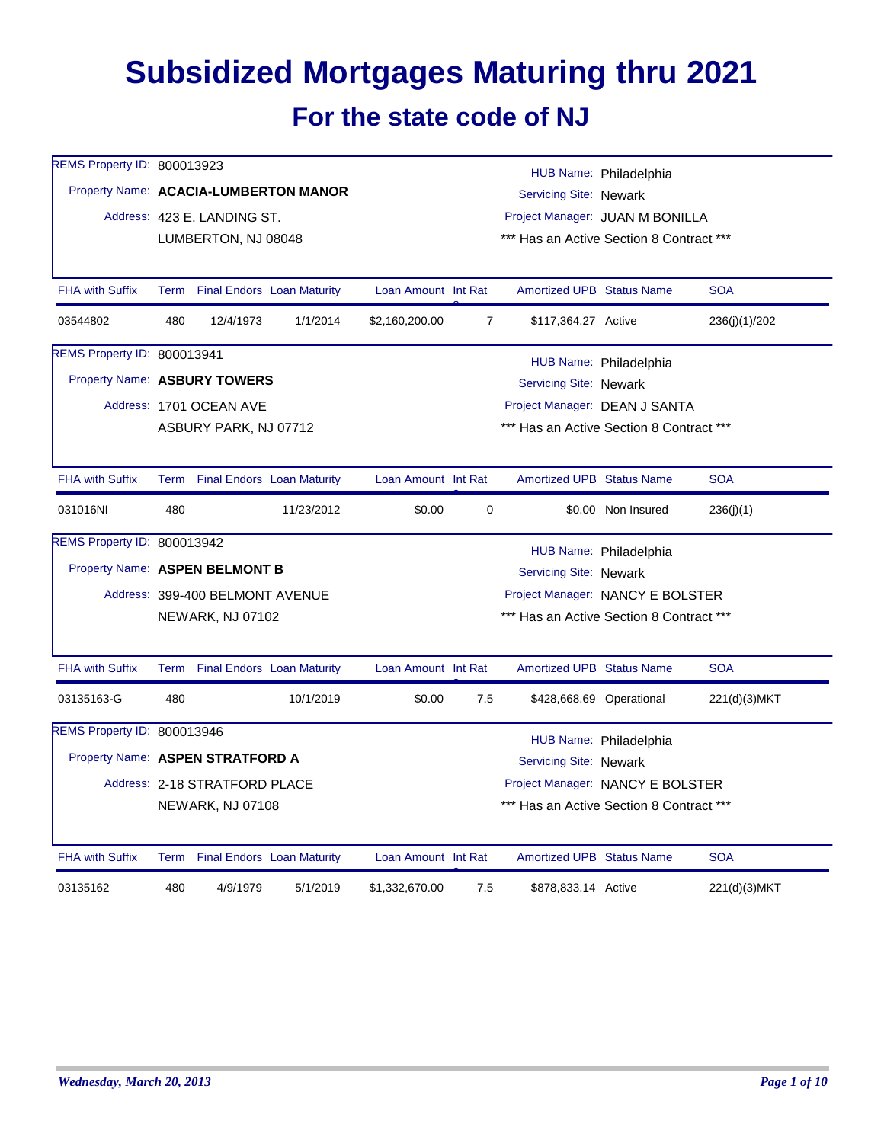## **Subsidized Mortgages Maturing thru 2021 For the state code of NJ**

| REMS Property ID: 800013923           |     |                                 |                                                                              |                                          |                                          |                                          | HUB Name: Philadelphia   |               |  |  |
|---------------------------------------|-----|---------------------------------|------------------------------------------------------------------------------|------------------------------------------|------------------------------------------|------------------------------------------|--------------------------|---------------|--|--|
| Property Name: ACACIA-LUMBERTON MANOR |     |                                 |                                                                              |                                          |                                          | <b>Servicing Site: Newark</b>            |                          |               |  |  |
|                                       |     | Address: 423 E. LANDING ST.     |                                                                              |                                          |                                          | Project Manager: JUAN M BONILLA          |                          |               |  |  |
|                                       |     | LUMBERTON, NJ 08048             |                                                                              |                                          | *** Has an Active Section 8 Contract *** |                                          |                          |               |  |  |
| <b>FHA with Suffix</b>                |     |                                 | Term Final Endors Loan Maturity                                              | Loan Amount Int Rat                      |                                          | <b>Amortized UPB Status Name</b>         |                          | <b>SOA</b>    |  |  |
| 03544802                              | 480 | 12/4/1973                       | 1/1/2014                                                                     | \$2,160,200.00                           | $\overline{7}$                           | \$117,364.27 Active                      |                          | 236(j)(1)/202 |  |  |
| REMS Property ID: 800013941           |     |                                 |                                                                              |                                          |                                          |                                          | HUB Name: Philadelphia   |               |  |  |
| Property Name: ASBURY TOWERS          |     |                                 |                                                                              |                                          |                                          | Servicing Site: Newark                   |                          |               |  |  |
|                                       |     | Address: 1701 OCEAN AVE         |                                                                              |                                          |                                          | Project Manager: DEAN J SANTA            |                          |               |  |  |
|                                       |     | ASBURY PARK, NJ 07712           |                                                                              |                                          |                                          | *** Has an Active Section 8 Contract *** |                          |               |  |  |
| <b>FHA with Suffix</b>                |     |                                 | Term Final Endors Loan Maturity                                              | Loan Amount Int Rat                      |                                          | <b>Amortized UPB Status Name</b>         |                          | <b>SOA</b>    |  |  |
| 031016NI                              | 480 |                                 | 11/23/2012                                                                   | \$0.00                                   | 0                                        |                                          | \$0.00 Non Insured       | 236(j)(1)     |  |  |
| REMS Property ID: 800013942           |     |                                 |                                                                              |                                          |                                          |                                          | HUB Name: Philadelphia   |               |  |  |
| Property Name: ASPEN BELMONT B        |     |                                 |                                                                              |                                          |                                          | Servicing Site: Newark                   |                          |               |  |  |
|                                       |     | Address: 399-400 BELMONT AVENUE |                                                                              | Project Manager: NANCY E BOLSTER         |                                          |                                          |                          |               |  |  |
|                                       |     | NEWARK, NJ 07102                |                                                                              | *** Has an Active Section 8 Contract *** |                                          |                                          |                          |               |  |  |
| <b>FHA with Suffix</b>                |     |                                 | Term Final Endors Loan Maturity                                              | Loan Amount Int Rat                      |                                          | <b>Amortized UPB Status Name</b>         |                          | <b>SOA</b>    |  |  |
| 03135163-G                            | 480 |                                 | 10/1/2019                                                                    | \$0.00                                   | 7.5                                      |                                          | \$428,668.69 Operational | 221(d)(3)MKT  |  |  |
| REMS Property ID: 800013946           |     |                                 |                                                                              |                                          |                                          |                                          | HUB Name: Philadelphia   |               |  |  |
| Property Name: ASPEN STRATFORD A      |     |                                 |                                                                              |                                          |                                          | <b>Servicing Site: Newark</b>            |                          |               |  |  |
|                                       |     | Address: 2-18 STRATFORD PLACE   |                                                                              |                                          |                                          |                                          |                          |               |  |  |
|                                       |     | NEWARK, NJ 07108                | Project Manager: NANCY E BOLSTER<br>*** Has an Active Section 8 Contract *** |                                          |                                          |                                          |                          |               |  |  |
| <b>FHA with Suffix</b>                |     |                                 | Term Final Endors Loan Maturity                                              | Loan Amount Int Rat                      |                                          | <b>Amortized UPB Status Name</b>         |                          | <b>SOA</b>    |  |  |
| 03135162                              | 480 | 4/9/1979                        | 5/1/2019                                                                     | \$1,332,670.00                           | 7.5                                      | \$878,833.14 Active                      |                          | 221(d)(3)MKT  |  |  |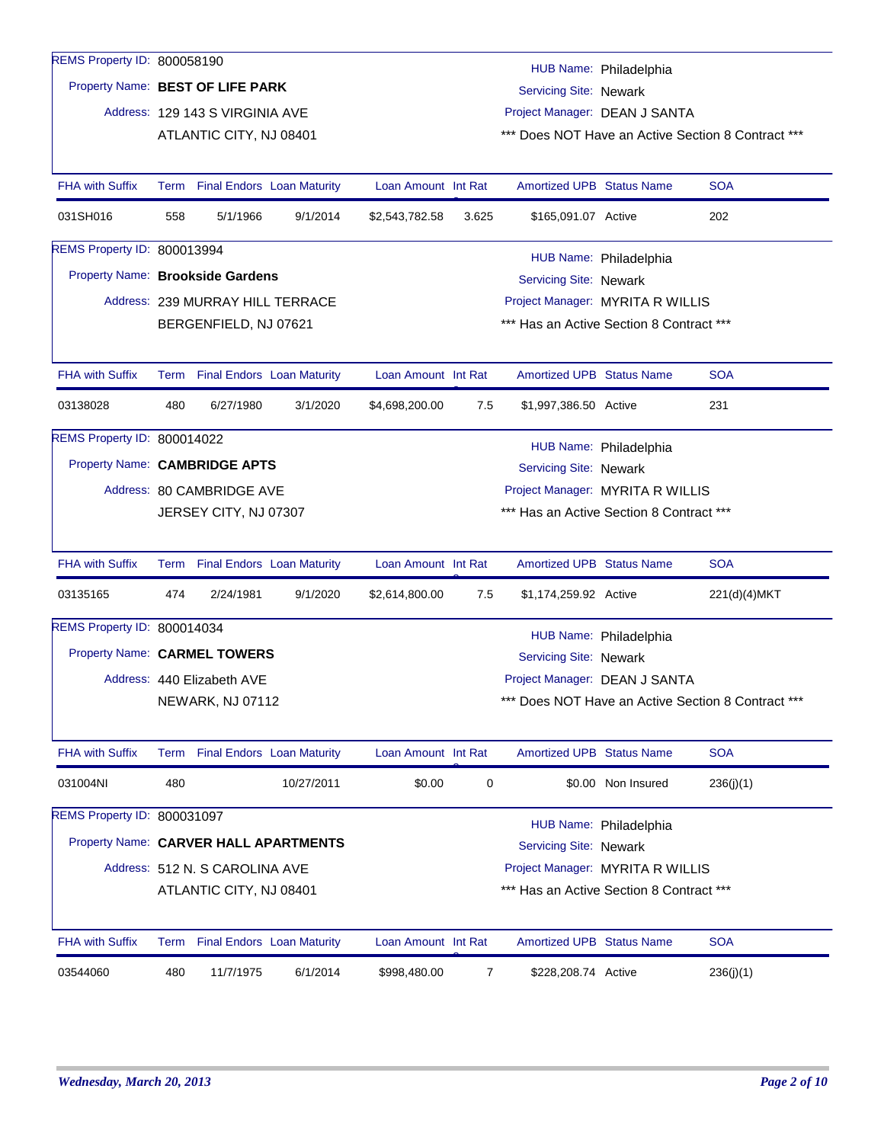| REMS Property ID: 800058190           |                                                                                          |                                  |            |                     |                |                                          |                        |                                                |
|---------------------------------------|------------------------------------------------------------------------------------------|----------------------------------|------------|---------------------|----------------|------------------------------------------|------------------------|------------------------------------------------|
|                                       |                                                                                          |                                  |            |                     |                |                                          | HUB Name: Philadelphia |                                                |
| Property Name: BEST OF LIFE PARK      |                                                                                          |                                  |            |                     |                | Servicing Site: Newark                   |                        |                                                |
|                                       |                                                                                          | Address: 129 143 S VIRGINIA AVE  |            |                     |                | Project Manager: DEAN J SANTA            |                        |                                                |
|                                       |                                                                                          | ATLANTIC CITY, NJ 08401          |            |                     |                |                                          |                        | Does NOT Have an Active Section 8 Contract *** |
| <b>FHA with Suffix</b>                |                                                                                          | Term Final Endors Loan Maturity  |            | Loan Amount Int Rat |                | <b>Amortized UPB Status Name</b>         |                        | <b>SOA</b>                                     |
| 031SH016                              | 558                                                                                      | 5/1/1966                         | 9/1/2014   | \$2,543,782.58      | 3.625          | \$165,091.07 Active                      |                        | 202                                            |
| REMS Property ID: 800013994           |                                                                                          |                                  |            |                     |                |                                          | HUB Name: Philadelphia |                                                |
| Property Name: Brookside Gardens      |                                                                                          |                                  |            |                     |                | Servicing Site: Newark                   |                        |                                                |
|                                       |                                                                                          | Address: 239 MURRAY HILL TERRACE |            |                     |                | Project Manager: MYRITA R WILLIS         |                        |                                                |
|                                       |                                                                                          | BERGENFIELD, NJ 07621            |            |                     |                | *** Has an Active Section 8 Contract *** |                        |                                                |
|                                       |                                                                                          |                                  |            |                     |                |                                          |                        |                                                |
| <b>FHA with Suffix</b>                |                                                                                          | Term Final Endors Loan Maturity  |            | Loan Amount Int Rat |                | <b>Amortized UPB Status Name</b>         |                        | <b>SOA</b>                                     |
| 03138028                              | 480                                                                                      | 6/27/1980                        | 3/1/2020   | \$4,698,200.00      | 7.5            | \$1,997,386.50 Active                    |                        | 231                                            |
| REMS Property ID: 800014022           |                                                                                          |                                  |            |                     |                |                                          |                        |                                                |
|                                       | HUB Name: Philadelphia<br>Property Name: CAMBRIDGE APTS<br><b>Servicing Site: Newark</b> |                                  |            |                     |                |                                          |                        |                                                |
|                                       |                                                                                          | Address: 80 CAMBRIDGE AVE        |            |                     |                | Project Manager: MYRITA R WILLIS         |                        |                                                |
|                                       |                                                                                          | JERSEY CITY, NJ 07307            |            |                     |                | *** Has an Active Section 8 Contract *** |                        |                                                |
| <b>FHA with Suffix</b>                |                                                                                          | Term Final Endors Loan Maturity  |            | Loan Amount Int Rat |                | <b>Amortized UPB Status Name</b>         |                        | <b>SOA</b>                                     |
| 03135165                              | 474                                                                                      | 2/24/1981                        | 9/1/2020   | \$2,614,800.00      | 7.5            | \$1,174,259.92 Active                    |                        | 221(d)(4)MKT                                   |
| REMS Property ID: 800014034           |                                                                                          |                                  |            |                     |                |                                          | HUB Name: Philadelphia |                                                |
| Property Name: CARMEL TOWERS          |                                                                                          |                                  |            |                     |                | Servicing Site: Newark                   |                        |                                                |
|                                       |                                                                                          | Address: 440 Elizabeth AVE       |            |                     |                | Project Manager: DEAN J SANTA            |                        |                                                |
|                                       |                                                                                          | <b>NEWARK, NJ 07112</b>          |            |                     |                |                                          |                        | Does NOT Have an Active Section 8 Contract *** |
| <b>FHA with Suffix</b>                |                                                                                          | Term Final Endors Loan Maturity  |            | Loan Amount Int Rat |                | <b>Amortized UPB Status Name</b>         |                        | <b>SOA</b>                                     |
| 031004NI                              | 480                                                                                      |                                  | 10/27/2011 | \$0.00              | 0              |                                          | \$0.00 Non Insured     | 236(j)(1)                                      |
| REMS Property ID: 800031097           |                                                                                          |                                  |            |                     |                |                                          |                        |                                                |
| Property Name: CARVER HALL APARTMENTS |                                                                                          |                                  |            |                     |                |                                          | HUB Name: Philadelphia |                                                |
|                                       |                                                                                          |                                  |            |                     |                | Servicing Site: Newark                   |                        |                                                |
|                                       |                                                                                          | Address: 512 N. S CAROLINA AVE   |            |                     |                | Project Manager: MYRITA R WILLIS         |                        |                                                |
|                                       |                                                                                          | ATLANTIC CITY, NJ 08401          |            |                     |                | *** Has an Active Section 8 Contract *** |                        |                                                |
| <b>FHA with Suffix</b>                |                                                                                          | Term Final Endors Loan Maturity  |            | Loan Amount Int Rat |                | Amortized UPB Status Name                |                        | <b>SOA</b>                                     |
| 03544060                              | 480                                                                                      | 11/7/1975                        | 6/1/2014   | \$998,480.00        | $\overline{7}$ | \$228,208.74 Active                      |                        | 236(j)(1)                                      |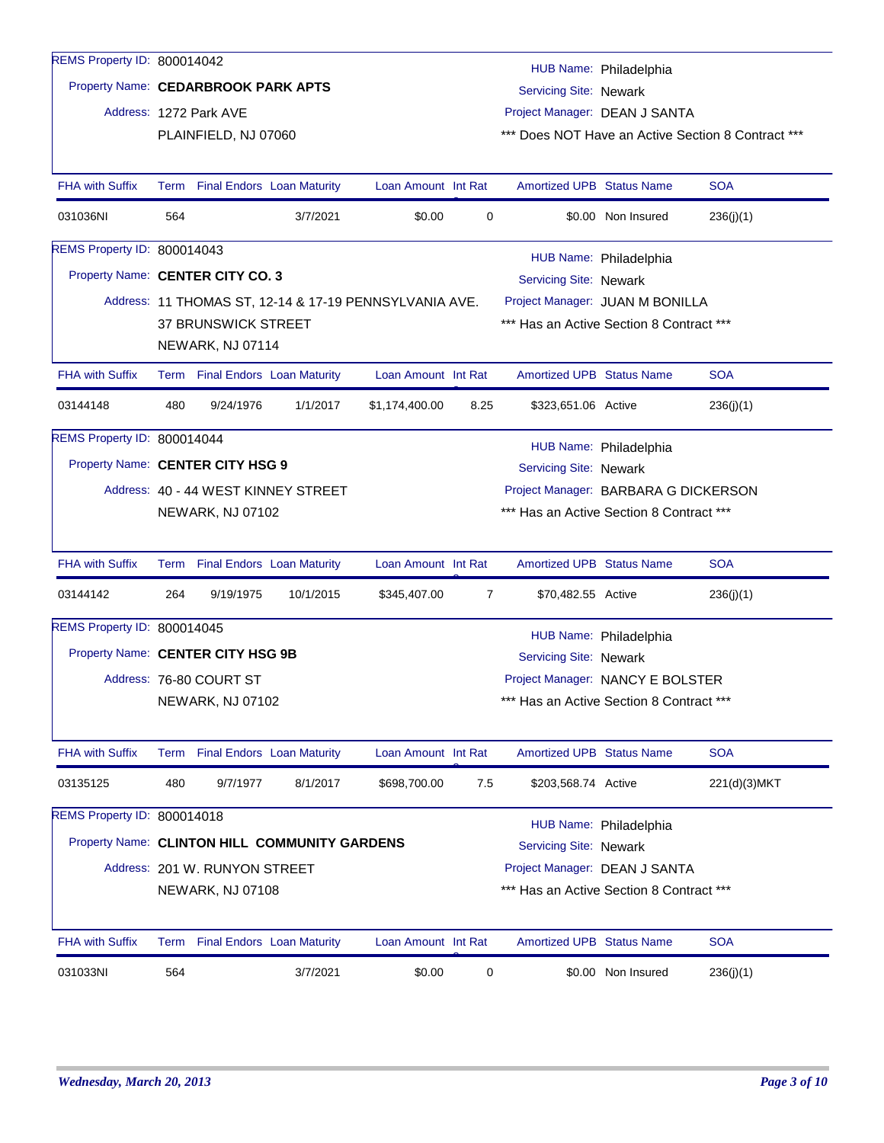| REMS Property ID: 800014042         |     |                                 |                                               |                                                        |                |                                          | HUB Name: Philadelphia |                                                    |  |
|-------------------------------------|-----|---------------------------------|-----------------------------------------------|--------------------------------------------------------|----------------|------------------------------------------|------------------------|----------------------------------------------------|--|
| Property Name: CEDARBROOK PARK APTS |     |                                 |                                               |                                                        |                | Servicing Site: Newark                   |                        |                                                    |  |
|                                     |     | Address: 1272 Park AVE          |                                               |                                                        |                | Project Manager: DEAN J SANTA            |                        |                                                    |  |
|                                     |     | PLAINFIELD, NJ 07060            |                                               |                                                        |                |                                          |                        | *** Does NOT Have an Active Section 8 Contract *** |  |
|                                     |     |                                 |                                               |                                                        |                |                                          |                        |                                                    |  |
| <b>FHA with Suffix</b>              |     | Term Final Endors Loan Maturity |                                               | Loan Amount Int Rat                                    |                | <b>Amortized UPB Status Name</b>         |                        | <b>SOA</b>                                         |  |
| 031036NI                            | 564 |                                 | 3/7/2021                                      | \$0.00                                                 | 0              |                                          | \$0.00 Non Insured     | 236(j)(1)                                          |  |
| REMS Property ID: 800014043         |     |                                 |                                               |                                                        |                |                                          | HUB Name: Philadelphia |                                                    |  |
| Property Name: CENTER CITY CO. 3    |     |                                 |                                               |                                                        |                | Servicing Site: Newark                   |                        |                                                    |  |
|                                     |     |                                 |                                               | Address: 11 THOMAS ST, 12-14 & 17-19 PENNSYLVANIA AVE. |                | Project Manager: JUAN M BONILLA          |                        |                                                    |  |
|                                     |     | 37 BRUNSWICK STREET             |                                               |                                                        |                | *** Has an Active Section 8 Contract *** |                        |                                                    |  |
|                                     |     | NEWARK, NJ 07114                |                                               |                                                        |                |                                          |                        |                                                    |  |
| <b>FHA with Suffix</b>              |     | Term Final Endors Loan Maturity |                                               | Loan Amount Int Rat                                    |                | <b>Amortized UPB Status Name</b>         |                        | <b>SOA</b>                                         |  |
| 03144148                            | 480 | 9/24/1976                       | 1/1/2017                                      | \$1,174,400.00                                         | 8.25           | \$323,651.06 Active                      |                        | 236(j)(1)                                          |  |
| REMS Property ID: 800014044         |     |                                 |                                               |                                                        |                |                                          | HUB Name: Philadelphia |                                                    |  |
| Property Name: CENTER CITY HSG 9    |     |                                 |                                               |                                                        |                | <b>Servicing Site: Newark</b>            |                        |                                                    |  |
|                                     |     |                                 | Address: 40 - 44 WEST KINNEY STREET           |                                                        |                | Project Manager: BARBARA G DICKERSON     |                        |                                                    |  |
|                                     |     | <b>NEWARK, NJ 07102</b>         |                                               |                                                        |                | *** Has an Active Section 8 Contract *** |                        |                                                    |  |
|                                     |     |                                 |                                               |                                                        |                |                                          |                        |                                                    |  |
| <b>FHA with Suffix</b>              |     | Term Final Endors Loan Maturity |                                               | Loan Amount Int Rat                                    |                | <b>Amortized UPB Status Name</b>         |                        | <b>SOA</b>                                         |  |
| 03144142                            | 264 | 9/19/1975                       | 10/1/2015                                     | \$345,407.00                                           | $\overline{7}$ | \$70,482.55 Active                       |                        | 236(j)(1)                                          |  |
| REMS Property ID: 800014045         |     |                                 |                                               |                                                        |                |                                          | HUB Name: Philadelphia |                                                    |  |
| Property Name: CENTER CITY HSG 9B   |     |                                 |                                               |                                                        |                | Servicing Site: Newark                   |                        |                                                    |  |
|                                     |     | Address: 76-80 COURT ST         |                                               |                                                        |                | Project Manager: NANCY E BOLSTER         |                        |                                                    |  |
|                                     |     | <b>NEWARK, NJ 07102</b>         |                                               |                                                        |                | *** Has an Active Section 8 Contract *** |                        |                                                    |  |
| <b>FHA with Suffix</b>              |     | Term Final Endors Loan Maturity |                                               | Loan Amount Int Rat                                    |                | Amortized UPB Status Name                |                        | <b>SOA</b>                                         |  |
| 03135125                            | 480 | 9/7/1977                        | 8/1/2017                                      | \$698,700.00                                           | 7.5            | \$203,568.74 Active                      |                        | 221(d)(3) MKT                                      |  |
| REMS Property ID: 800014018         |     |                                 |                                               |                                                        |                |                                          |                        |                                                    |  |
|                                     |     |                                 | Property Name: CLINTON HILL COMMUNITY GARDENS |                                                        |                | <b>Servicing Site: Newark</b>            | HUB Name: Philadelphia |                                                    |  |
|                                     |     | Address: 201 W. RUNYON STREET   |                                               |                                                        |                | Project Manager: DEAN J SANTA            |                        |                                                    |  |
|                                     |     | NEWARK, NJ 07108                |                                               |                                                        |                | *** Has an Active Section 8 Contract *** |                        |                                                    |  |
|                                     |     |                                 |                                               |                                                        |                |                                          |                        |                                                    |  |
| FHA with Suffix                     |     | Term Final Endors Loan Maturity |                                               | Loan Amount Int Rat                                    |                | Amortized UPB Status Name                |                        | <b>SOA</b>                                         |  |
| 031033NI                            | 564 |                                 | 3/7/2021                                      | \$0.00                                                 | 0              |                                          | \$0.00 Non Insured     | 236(j)(1)                                          |  |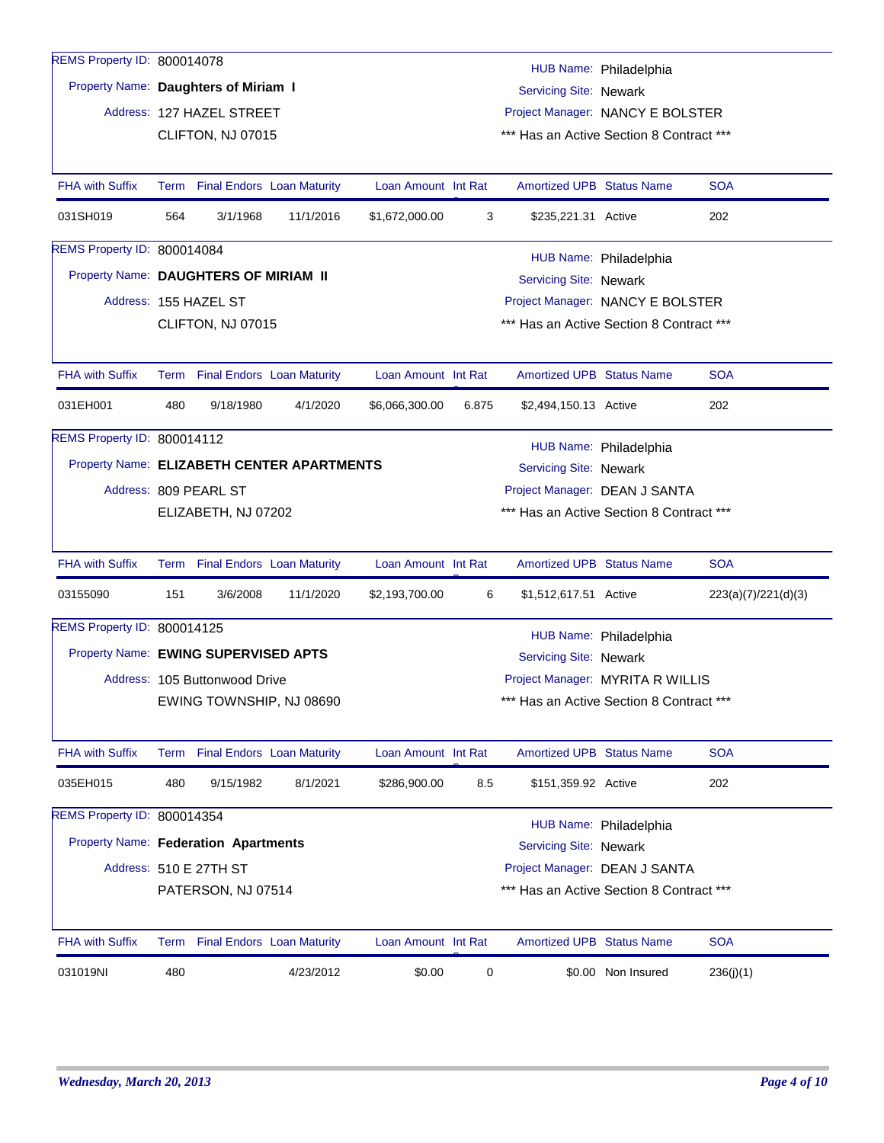| REMS Property ID: 800014078                |      |                                 |                                   |                     |                                  |                                                  |                        |                     |  |  |
|--------------------------------------------|------|---------------------------------|-----------------------------------|---------------------|----------------------------------|--------------------------------------------------|------------------------|---------------------|--|--|
| Property Name: Daughters of Miriam I       |      |                                 |                                   |                     |                                  | Servicing Site: Newark                           | HUB Name: Philadelphia |                     |  |  |
|                                            |      | Address: 127 HAZEL STREET       |                                   |                     |                                  | Project Manager: NANCY E BOLSTER                 |                        |                     |  |  |
|                                            |      | CLIFTON, NJ 07015               |                                   |                     |                                  | *** Has an Active Section 8 Contract ***         |                        |                     |  |  |
|                                            |      |                                 |                                   |                     |                                  |                                                  |                        |                     |  |  |
| <b>FHA with Suffix</b>                     |      | Term Final Endors Loan Maturity |                                   | Loan Amount Int Rat |                                  | Amortized UPB Status Name                        |                        | <b>SOA</b>          |  |  |
| 031SH019                                   | 564  | 3/1/1968                        | 11/1/2016                         | \$1,672,000.00      | 3                                | \$235,221.31 Active                              |                        | 202                 |  |  |
| REMS Property ID: 800014084                |      |                                 |                                   |                     |                                  |                                                  | HUB Name: Philadelphia |                     |  |  |
| Property Name: DAUGHTERS OF MIRIAM II      |      |                                 |                                   |                     |                                  | Servicing Site: Newark                           |                        |                     |  |  |
|                                            |      | Address: 155 HAZEL ST           |                                   |                     |                                  | Project Manager: NANCY E BOLSTER                 |                        |                     |  |  |
|                                            |      | CLIFTON, NJ 07015               |                                   |                     |                                  | *** Has an Active Section 8 Contract ***         |                        |                     |  |  |
|                                            |      |                                 |                                   |                     |                                  |                                                  |                        |                     |  |  |
| <b>FHA with Suffix</b>                     |      | Term Final Endors Loan Maturity |                                   | Loan Amount Int Rat |                                  | <b>Amortized UPB Status Name</b>                 |                        | <b>SOA</b>          |  |  |
| 031EH001                                   | 480  | 9/18/1980                       | 4/1/2020                          | \$6,066,300.00      | 6.875                            | \$2,494,150.13 Active                            |                        | 202                 |  |  |
| REMS Property ID: 800014112                |      |                                 |                                   |                     |                                  |                                                  | HUB Name: Philadelphia |                     |  |  |
| Property Name: ELIZABETH CENTER APARTMENTS |      |                                 |                                   |                     |                                  | Servicing Site: Newark                           |                        |                     |  |  |
|                                            |      | Address: 809 PEARL ST           |                                   |                     |                                  | Project Manager: DEAN J SANTA                    |                        |                     |  |  |
|                                            |      | ELIZABETH, NJ 07202             |                                   |                     |                                  | *** Has an Active Section 8 Contract ***         |                        |                     |  |  |
|                                            |      |                                 |                                   |                     |                                  |                                                  |                        |                     |  |  |
| <b>FHA with Suffix</b>                     | Term |                                 | <b>Final Endors Loan Maturity</b> | Loan Amount Int Rat |                                  | <b>Amortized UPB Status Name</b>                 |                        | <b>SOA</b>          |  |  |
| 03155090                                   | 151  | 3/6/2008                        | 11/1/2020                         | \$2,193,700.00      | 6                                | \$1,512,617.51 Active                            |                        | 223(a)(7)/221(d)(3) |  |  |
| REMS Property ID: 800014125                |      |                                 |                                   |                     |                                  |                                                  |                        |                     |  |  |
| Property Name: EWING SUPERVISED APTS       |      |                                 |                                   |                     |                                  | HUB Name: Philadelphia<br>Servicing Site: Newark |                        |                     |  |  |
|                                            |      | Address: 105 Buttonwood Drive   |                                   |                     | Project Manager: MYRITA R WILLIS |                                                  |                        |                     |  |  |
|                                            |      | EWING TOWNSHIP, NJ 08690        |                                   |                     |                                  | *** Has an Active Section 8 Contract ***         |                        |                     |  |  |
|                                            |      |                                 |                                   |                     |                                  |                                                  |                        |                     |  |  |
| FHA with Suffix                            |      | Term Final Endors Loan Maturity |                                   | Loan Amount Int Rat |                                  | <b>Amortized UPB Status Name</b>                 |                        | <b>SOA</b>          |  |  |
| 035EH015                                   | 480  | 9/15/1982                       | 8/1/2021                          | \$286,900.00        | 8.5                              | \$151,359.92 Active                              |                        | 202                 |  |  |
| REMS Property ID: 800014354                |      |                                 |                                   |                     |                                  |                                                  | HUB Name: Philadelphia |                     |  |  |
| Property Name: Federation Apartments       |      |                                 |                                   |                     |                                  | Servicing Site: Newark                           |                        |                     |  |  |
|                                            |      | Address: 510 E 27TH ST          |                                   |                     |                                  | Project Manager: DEAN J SANTA                    |                        |                     |  |  |
|                                            |      | PATERSON, NJ 07514              |                                   |                     |                                  | *** Has an Active Section 8 Contract ***         |                        |                     |  |  |
|                                            |      |                                 |                                   |                     |                                  |                                                  |                        |                     |  |  |
| <b>FHA with Suffix</b>                     |      | Term Final Endors Loan Maturity |                                   | Loan Amount Int Rat |                                  | <b>Amortized UPB Status Name</b>                 |                        | <b>SOA</b>          |  |  |
| 031019NI                                   | 480  |                                 | 4/23/2012                         | \$0.00              | 0                                |                                                  | \$0.00 Non Insured     | 236(j)(1)           |  |  |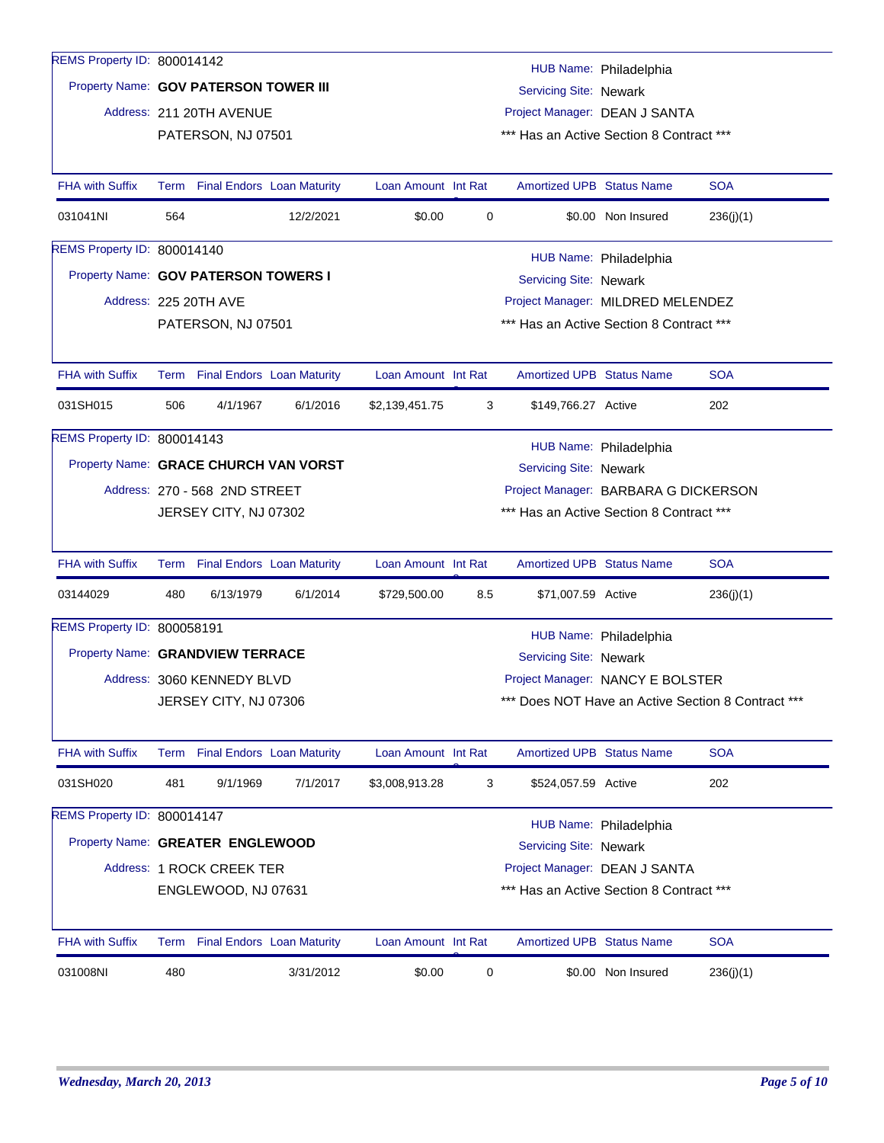| Property Name: GOV PATERSON TOWERS I<br>Address: 225 20TH AVE<br><b>FHA with Suffix</b><br>031SH015<br>506<br>REMS Property ID: 800014143<br>Property Name: GRACE CHURCH VAN VORST<br>Address: 270 - 568 2ND STREET<br><b>FHA with Suffix</b><br>03144029<br>480<br>REMS Property ID: 800058191<br>Property Name: GRANDVIEW TERRACE<br>Address: 3060 KENNEDY BLVD<br><b>FHA with Suffix</b><br>Term<br>481<br>031SH020<br>REMS Property ID: 800014147<br>Property Name: GREATER ENGLEWOOD<br>Address: 1 ROCK CREEK TER<br><b>FHA with Suffix</b> | Term Final Endors Loan Maturity<br>4/1/1967<br>JERSEY CITY, NJ 07302<br>Term Final Endors Loan Maturity<br>6/13/1979<br>JERSEY CITY, NJ 07306<br><b>Final Endors Loan Maturity</b><br>9/1/1969<br>ENGLEWOOD, NJ 07631<br>Term Final Endors Loan Maturity | 6/1/2016<br>6/1/2014<br>7/1/2017 | Loan Amount Int Rat<br>\$2,139,451.75<br>Loan Amount Int Rat<br>\$729,500.00<br>Loan Amount Int Rat<br>\$3,008,913.28<br>Loan Amount Int Rat | 3<br>8.5<br>3 | <b>Amortized UPB Status Name</b><br>\$149,766.27 Active<br>Servicing Site: Newark<br><b>Amortized UPB Status Name</b><br>\$71,007.59 Active<br>Servicing Site: Newark<br><b>Amortized UPB Status Name</b><br>\$524,057.59 Active<br>Servicing Site: Newark<br>Amortized UPB Status Name | HUB Name: Philadelphia<br>Project Manager: BARBARA G DICKERSON<br>*** Has an Active Section 8 Contract ***<br>HUB Name: Philadelphia<br>Project Manager: NANCY E BOLSTER<br>HUB Name: Philadelphia<br>Project Manager: DEAN J SANTA<br>*** Has an Active Section 8 Contract *** | <b>SOA</b><br>202<br><b>SOA</b><br>236(j)(1)<br>Does NOT Have an Active Section 8 Contract ***<br><b>SOA</b><br>202<br><b>SOA</b> |
|--------------------------------------------------------------------------------------------------------------------------------------------------------------------------------------------------------------------------------------------------------------------------------------------------------------------------------------------------------------------------------------------------------------------------------------------------------------------------------------------------------------------------------------------------|----------------------------------------------------------------------------------------------------------------------------------------------------------------------------------------------------------------------------------------------------------|----------------------------------|----------------------------------------------------------------------------------------------------------------------------------------------|---------------|-----------------------------------------------------------------------------------------------------------------------------------------------------------------------------------------------------------------------------------------------------------------------------------------|---------------------------------------------------------------------------------------------------------------------------------------------------------------------------------------------------------------------------------------------------------------------------------|-----------------------------------------------------------------------------------------------------------------------------------|
|                                                                                                                                                                                                                                                                                                                                                                                                                                                                                                                                                  |                                                                                                                                                                                                                                                          |                                  |                                                                                                                                              |               |                                                                                                                                                                                                                                                                                         |                                                                                                                                                                                                                                                                                 |                                                                                                                                   |
|                                                                                                                                                                                                                                                                                                                                                                                                                                                                                                                                                  |                                                                                                                                                                                                                                                          |                                  |                                                                                                                                              |               |                                                                                                                                                                                                                                                                                         |                                                                                                                                                                                                                                                                                 |                                                                                                                                   |
|                                                                                                                                                                                                                                                                                                                                                                                                                                                                                                                                                  |                                                                                                                                                                                                                                                          |                                  |                                                                                                                                              |               |                                                                                                                                                                                                                                                                                         |                                                                                                                                                                                                                                                                                 |                                                                                                                                   |
|                                                                                                                                                                                                                                                                                                                                                                                                                                                                                                                                                  |                                                                                                                                                                                                                                                          |                                  |                                                                                                                                              |               |                                                                                                                                                                                                                                                                                         |                                                                                                                                                                                                                                                                                 |                                                                                                                                   |
|                                                                                                                                                                                                                                                                                                                                                                                                                                                                                                                                                  |                                                                                                                                                                                                                                                          |                                  |                                                                                                                                              |               |                                                                                                                                                                                                                                                                                         |                                                                                                                                                                                                                                                                                 |                                                                                                                                   |
|                                                                                                                                                                                                                                                                                                                                                                                                                                                                                                                                                  |                                                                                                                                                                                                                                                          |                                  |                                                                                                                                              |               |                                                                                                                                                                                                                                                                                         |                                                                                                                                                                                                                                                                                 |                                                                                                                                   |
|                                                                                                                                                                                                                                                                                                                                                                                                                                                                                                                                                  |                                                                                                                                                                                                                                                          |                                  |                                                                                                                                              |               |                                                                                                                                                                                                                                                                                         |                                                                                                                                                                                                                                                                                 |                                                                                                                                   |
|                                                                                                                                                                                                                                                                                                                                                                                                                                                                                                                                                  |                                                                                                                                                                                                                                                          |                                  |                                                                                                                                              |               |                                                                                                                                                                                                                                                                                         |                                                                                                                                                                                                                                                                                 |                                                                                                                                   |
|                                                                                                                                                                                                                                                                                                                                                                                                                                                                                                                                                  |                                                                                                                                                                                                                                                          |                                  |                                                                                                                                              |               |                                                                                                                                                                                                                                                                                         |                                                                                                                                                                                                                                                                                 |                                                                                                                                   |
|                                                                                                                                                                                                                                                                                                                                                                                                                                                                                                                                                  |                                                                                                                                                                                                                                                          |                                  |                                                                                                                                              |               |                                                                                                                                                                                                                                                                                         |                                                                                                                                                                                                                                                                                 |                                                                                                                                   |
|                                                                                                                                                                                                                                                                                                                                                                                                                                                                                                                                                  |                                                                                                                                                                                                                                                          |                                  |                                                                                                                                              |               |                                                                                                                                                                                                                                                                                         |                                                                                                                                                                                                                                                                                 |                                                                                                                                   |
|                                                                                                                                                                                                                                                                                                                                                                                                                                                                                                                                                  |                                                                                                                                                                                                                                                          |                                  |                                                                                                                                              |               |                                                                                                                                                                                                                                                                                         |                                                                                                                                                                                                                                                                                 |                                                                                                                                   |
|                                                                                                                                                                                                                                                                                                                                                                                                                                                                                                                                                  |                                                                                                                                                                                                                                                          |                                  |                                                                                                                                              |               |                                                                                                                                                                                                                                                                                         |                                                                                                                                                                                                                                                                                 |                                                                                                                                   |
|                                                                                                                                                                                                                                                                                                                                                                                                                                                                                                                                                  |                                                                                                                                                                                                                                                          |                                  |                                                                                                                                              |               |                                                                                                                                                                                                                                                                                         |                                                                                                                                                                                                                                                                                 |                                                                                                                                   |
|                                                                                                                                                                                                                                                                                                                                                                                                                                                                                                                                                  |                                                                                                                                                                                                                                                          |                                  |                                                                                                                                              |               |                                                                                                                                                                                                                                                                                         |                                                                                                                                                                                                                                                                                 |                                                                                                                                   |
|                                                                                                                                                                                                                                                                                                                                                                                                                                                                                                                                                  |                                                                                                                                                                                                                                                          |                                  |                                                                                                                                              |               |                                                                                                                                                                                                                                                                                         |                                                                                                                                                                                                                                                                                 |                                                                                                                                   |
|                                                                                                                                                                                                                                                                                                                                                                                                                                                                                                                                                  |                                                                                                                                                                                                                                                          |                                  |                                                                                                                                              |               |                                                                                                                                                                                                                                                                                         |                                                                                                                                                                                                                                                                                 |                                                                                                                                   |
|                                                                                                                                                                                                                                                                                                                                                                                                                                                                                                                                                  |                                                                                                                                                                                                                                                          |                                  |                                                                                                                                              |               |                                                                                                                                                                                                                                                                                         |                                                                                                                                                                                                                                                                                 |                                                                                                                                   |
|                                                                                                                                                                                                                                                                                                                                                                                                                                                                                                                                                  |                                                                                                                                                                                                                                                          |                                  |                                                                                                                                              |               |                                                                                                                                                                                                                                                                                         |                                                                                                                                                                                                                                                                                 |                                                                                                                                   |
|                                                                                                                                                                                                                                                                                                                                                                                                                                                                                                                                                  |                                                                                                                                                                                                                                                          |                                  |                                                                                                                                              |               |                                                                                                                                                                                                                                                                                         |                                                                                                                                                                                                                                                                                 |                                                                                                                                   |
|                                                                                                                                                                                                                                                                                                                                                                                                                                                                                                                                                  |                                                                                                                                                                                                                                                          |                                  |                                                                                                                                              |               |                                                                                                                                                                                                                                                                                         |                                                                                                                                                                                                                                                                                 |                                                                                                                                   |
|                                                                                                                                                                                                                                                                                                                                                                                                                                                                                                                                                  | PATERSON, NJ 07501                                                                                                                                                                                                                                       |                                  |                                                                                                                                              |               |                                                                                                                                                                                                                                                                                         | *** Has an Active Section 8 Contract ***                                                                                                                                                                                                                                        |                                                                                                                                   |
|                                                                                                                                                                                                                                                                                                                                                                                                                                                                                                                                                  |                                                                                                                                                                                                                                                          |                                  |                                                                                                                                              |               |                                                                                                                                                                                                                                                                                         | Project Manager: MILDRED MELENDEZ                                                                                                                                                                                                                                               |                                                                                                                                   |
|                                                                                                                                                                                                                                                                                                                                                                                                                                                                                                                                                  |                                                                                                                                                                                                                                                          |                                  |                                                                                                                                              |               | Servicing Site: Newark                                                                                                                                                                                                                                                                  | HUB Name: Philadelphia                                                                                                                                                                                                                                                          |                                                                                                                                   |
| REMS Property ID: 800014140                                                                                                                                                                                                                                                                                                                                                                                                                                                                                                                      |                                                                                                                                                                                                                                                          |                                  |                                                                                                                                              |               |                                                                                                                                                                                                                                                                                         |                                                                                                                                                                                                                                                                                 |                                                                                                                                   |
| 031041NI<br>564                                                                                                                                                                                                                                                                                                                                                                                                                                                                                                                                  |                                                                                                                                                                                                                                                          | 12/2/2021                        | \$0.00                                                                                                                                       | 0             |                                                                                                                                                                                                                                                                                         | \$0.00 Non Insured                                                                                                                                                                                                                                                              | 236(j)(1)                                                                                                                         |
| <b>FHA with Suffix</b>                                                                                                                                                                                                                                                                                                                                                                                                                                                                                                                           | Term Final Endors Loan Maturity                                                                                                                                                                                                                          |                                  | Loan Amount Int Rat                                                                                                                          |               | <b>Amortized UPB Status Name</b>                                                                                                                                                                                                                                                        |                                                                                                                                                                                                                                                                                 | <b>SOA</b>                                                                                                                        |
|                                                                                                                                                                                                                                                                                                                                                                                                                                                                                                                                                  | PATERSON, NJ 07501                                                                                                                                                                                                                                       |                                  |                                                                                                                                              |               |                                                                                                                                                                                                                                                                                         | *** Has an Active Section 8 Contract ***                                                                                                                                                                                                                                        |                                                                                                                                   |
| Address: 211 20TH AVENUE                                                                                                                                                                                                                                                                                                                                                                                                                                                                                                                         |                                                                                                                                                                                                                                                          |                                  |                                                                                                                                              |               |                                                                                                                                                                                                                                                                                         | Project Manager: DEAN J SANTA                                                                                                                                                                                                                                                   |                                                                                                                                   |
| Property Name: GOV PATERSON TOWER III                                                                                                                                                                                                                                                                                                                                                                                                                                                                                                            |                                                                                                                                                                                                                                                          |                                  |                                                                                                                                              |               | Servicing Site: Newark                                                                                                                                                                                                                                                                  |                                                                                                                                                                                                                                                                                 |                                                                                                                                   |
| REMS Property ID: 800014142                                                                                                                                                                                                                                                                                                                                                                                                                                                                                                                      |                                                                                                                                                                                                                                                          |                                  |                                                                                                                                              |               |                                                                                                                                                                                                                                                                                         | HUB Name: Philadelphia                                                                                                                                                                                                                                                          |                                                                                                                                   |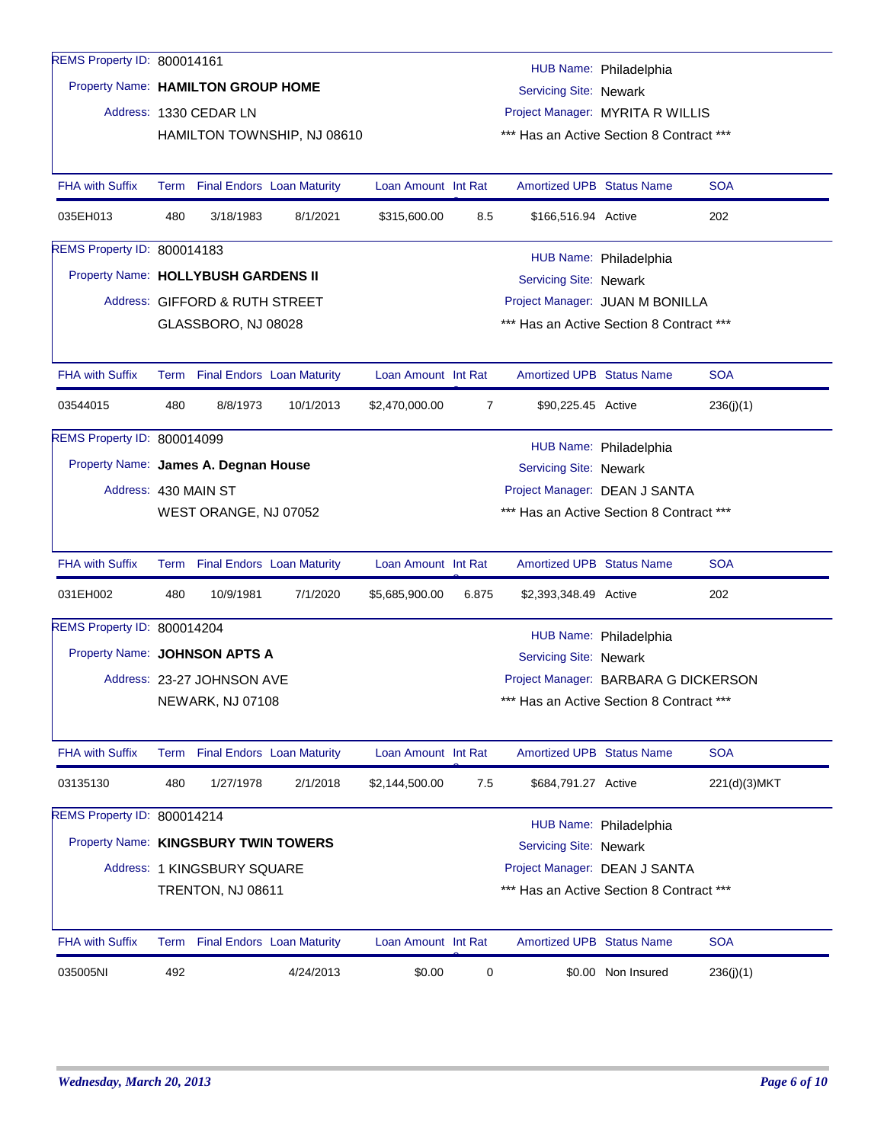| REMS Property ID: 800014161          |     |                                                                   |                             |                     |                |                                          | HUB Name: Philadelphia               |              |  |  |  |
|--------------------------------------|-----|-------------------------------------------------------------------|-----------------------------|---------------------|----------------|------------------------------------------|--------------------------------------|--------------|--|--|--|
| Property Name: HAMILTON GROUP HOME   |     |                                                                   |                             |                     |                | Servicing Site: Newark                   |                                      |              |  |  |  |
|                                      |     | Address: 1330 CEDAR LN                                            |                             |                     |                |                                          | Project Manager: MYRITA R WILLIS     |              |  |  |  |
|                                      |     |                                                                   | HAMILTON TOWNSHIP, NJ 08610 |                     |                | *** Has an Active Section 8 Contract *** |                                      |              |  |  |  |
|                                      |     |                                                                   |                             |                     |                |                                          |                                      |              |  |  |  |
| <b>FHA with Suffix</b>               |     | Term Final Endors Loan Maturity                                   |                             | Loan Amount Int Rat |                | <b>Amortized UPB Status Name</b>         |                                      | <b>SOA</b>   |  |  |  |
| 035EH013                             | 480 | 3/18/1983                                                         | 8/1/2021                    | \$315,600.00        | 8.5            | \$166,516.94 Active                      |                                      | 202          |  |  |  |
| REMS Property ID: 800014183          |     |                                                                   |                             |                     |                |                                          | HUB Name: Philadelphia               |              |  |  |  |
| Property Name: HOLLYBUSH GARDENS II  |     |                                                                   |                             |                     |                | Servicing Site: Newark                   |                                      |              |  |  |  |
|                                      |     | Project Manager: JUAN M BONILLA<br>Address: GIFFORD & RUTH STREET |                             |                     |                |                                          |                                      |              |  |  |  |
|                                      |     | GLASSBORO, NJ 08028                                               |                             |                     |                | *** Has an Active Section 8 Contract *** |                                      |              |  |  |  |
|                                      |     |                                                                   |                             |                     |                |                                          |                                      |              |  |  |  |
| <b>FHA with Suffix</b>               |     | Term Final Endors Loan Maturity                                   |                             | Loan Amount Int Rat |                | <b>Amortized UPB Status Name</b>         |                                      | <b>SOA</b>   |  |  |  |
| 03544015                             | 480 | 8/8/1973                                                          | 10/1/2013                   | \$2,470,000.00      | $\overline{7}$ | \$90,225.45 Active                       |                                      | 236(j)(1)    |  |  |  |
| REMS Property ID: 800014099          |     |                                                                   |                             |                     |                |                                          | HUB Name: Philadelphia               |              |  |  |  |
| Property Name: James A. Degnan House |     |                                                                   | Servicing Site: Newark      |                     |                |                                          |                                      |              |  |  |  |
| Address: 430 MAIN ST                 |     |                                                                   |                             |                     |                |                                          | Project Manager: DEAN J SANTA        |              |  |  |  |
|                                      |     | WEST ORANGE, NJ 07052                                             |                             |                     |                | *** Has an Active Section 8 Contract *** |                                      |              |  |  |  |
|                                      |     |                                                                   |                             |                     |                |                                          |                                      |              |  |  |  |
| <b>FHA with Suffix</b>               |     | Term Final Endors Loan Maturity                                   |                             | Loan Amount Int Rat |                | <b>Amortized UPB Status Name</b>         |                                      | <b>SOA</b>   |  |  |  |
| 031EH002                             | 480 | 10/9/1981                                                         | 7/1/2020                    | \$5,685,900.00      | 6.875          | \$2,393,348.49 Active                    |                                      | 202          |  |  |  |
| REMS Property ID: 800014204          |     |                                                                   |                             |                     |                |                                          | HUB Name: Philadelphia               |              |  |  |  |
| Property Name: JOHNSON APTS A        |     |                                                                   |                             |                     |                | Servicing Site: Newark                   |                                      |              |  |  |  |
|                                      |     | Address: 23-27 JOHNSON AVE                                        |                             |                     |                |                                          | Project Manager: BARBARA G DICKERSON |              |  |  |  |
|                                      |     | NEWARK, NJ 07108                                                  |                             |                     |                | *** Has an Active Section 8 Contract *** |                                      |              |  |  |  |
|                                      |     |                                                                   |                             |                     |                |                                          |                                      |              |  |  |  |
| FHA with Suffix                      |     | Term Final Endors Loan Maturity                                   |                             | Loan Amount Int Rat |                | <b>Amortized UPB Status Name</b>         |                                      | <b>SOA</b>   |  |  |  |
| 03135130                             | 480 | 1/27/1978                                                         | 2/1/2018                    | \$2,144,500.00      | 7.5            | \$684,791.27 Active                      |                                      | 221(d)(3)MKT |  |  |  |
| REMS Property ID: 800014214          |     |                                                                   |                             |                     |                |                                          |                                      |              |  |  |  |
| Property Name: KINGSBURY TWIN TOWERS |     |                                                                   |                             |                     |                | Servicing Site: Newark                   | HUB Name: Philadelphia               |              |  |  |  |
|                                      |     | Address: 1 KINGSBURY SQUARE                                       |                             |                     |                |                                          | Project Manager: DEAN J SANTA        |              |  |  |  |
|                                      |     | TRENTON, NJ 08611                                                 |                             |                     |                | *** Has an Active Section 8 Contract *** |                                      |              |  |  |  |
|                                      |     |                                                                   |                             |                     |                |                                          |                                      |              |  |  |  |
| <b>FHA with Suffix</b>               |     | Term Final Endors Loan Maturity                                   |                             | Loan Amount Int Rat |                | <b>Amortized UPB Status Name</b>         |                                      | <b>SOA</b>   |  |  |  |
| 035005NI                             | 492 |                                                                   | 4/24/2013                   | \$0.00              | 0              |                                          | \$0.00 Non Insured                   | 236(j)(1)    |  |  |  |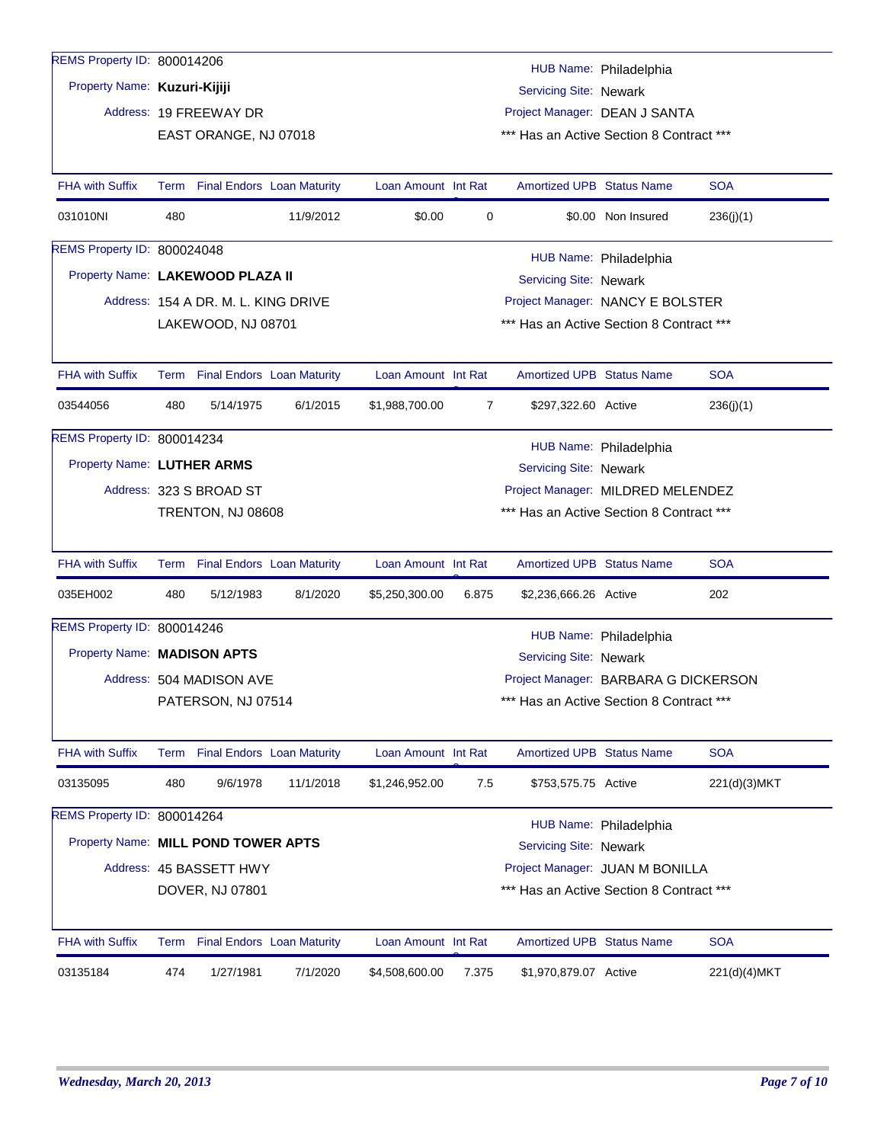| REMS Property ID: 800014206         |     |                                     |           |                     |       |                                          |                        |              |
|-------------------------------------|-----|-------------------------------------|-----------|---------------------|-------|------------------------------------------|------------------------|--------------|
|                                     |     |                                     |           |                     |       |                                          | HUB Name: Philadelphia |              |
| Property Name: Kuzuri-Kijiji        |     |                                     |           |                     |       | Servicing Site: Newark                   |                        |              |
|                                     |     | Address: 19 FREEWAY DR              |           |                     |       | Project Manager: DEAN J SANTA            |                        |              |
|                                     |     | EAST ORANGE, NJ 07018               |           |                     |       | *** Has an Active Section 8 Contract *** |                        |              |
| <b>FHA with Suffix</b>              |     | Term Final Endors Loan Maturity     |           | Loan Amount Int Rat |       | <b>Amortized UPB Status Name</b>         |                        | <b>SOA</b>   |
| 031010NI                            | 480 |                                     | 11/9/2012 | \$0.00              | 0     |                                          | \$0.00 Non Insured     | 236(j)(1)    |
| REMS Property ID: 800024048         |     |                                     |           |                     |       |                                          | HUB Name: Philadelphia |              |
| Property Name: LAKEWOOD PLAZA II    |     |                                     |           |                     |       | Servicing Site: Newark                   |                        |              |
|                                     |     | Address: 154 A DR, M, L, KING DRIVE |           |                     |       | Project Manager: NANCY E BOLSTER         |                        |              |
|                                     |     | LAKEWOOD, NJ 08701                  |           |                     |       | *** Has an Active Section 8 Contract *** |                        |              |
|                                     |     |                                     |           |                     |       |                                          |                        |              |
| <b>FHA with Suffix</b>              |     | Term Final Endors Loan Maturity     |           | Loan Amount Int Rat |       | <b>Amortized UPB Status Name</b>         |                        | <b>SOA</b>   |
| 03544056                            | 480 | 5/14/1975                           | 6/1/2015  | \$1,988,700.00      | 7     | \$297,322.60 Active                      |                        | 236(j)(1)    |
| REMS Property ID: 800014234         |     |                                     |           |                     |       |                                          | HUB Name: Philadelphia |              |
| Property Name: LUTHER ARMS          |     |                                     |           |                     |       | Servicing Site: Newark                   |                        |              |
|                                     |     | Address: 323 S BROAD ST             |           |                     |       | Project Manager: MILDRED MELENDEZ        |                        |              |
|                                     |     | TRENTON, NJ 08608                   |           |                     |       | *** Has an Active Section 8 Contract *** |                        |              |
| <b>FHA with Suffix</b>              |     | Term Final Endors Loan Maturity     |           | Loan Amount Int Rat |       | <b>Amortized UPB Status Name</b>         |                        | <b>SOA</b>   |
| 035EH002                            | 480 | 5/12/1983                           | 8/1/2020  | \$5,250,300.00      | 6.875 | \$2,236,666.26 Active                    |                        | 202          |
| REMS Property ID: 800014246         |     |                                     |           |                     |       |                                          | HUB Name: Philadelphia |              |
| Property Name: MADISON APTS         |     |                                     |           |                     |       | Servicing Site: Newark                   |                        |              |
|                                     |     | Address: 504 MADISON AVE            |           |                     |       | Project Manager: BARBARA G DICKERSON     |                        |              |
|                                     |     | PATERSON, NJ 07514                  |           |                     |       | *** Has an Active Section 8 Contract *** |                        |              |
| <b>FHA with Suffix</b>              |     | Term Final Endors Loan Maturity     |           | Loan Amount Int Rat |       | <b>Amortized UPB Status Name</b>         |                        | <b>SOA</b>   |
| 03135095                            | 480 | 9/6/1978                            | 11/1/2018 | \$1,246,952.00      | 7.5   | \$753,575.75 Active                      |                        | 221(d)(3)MKT |
| REMS Property ID: 800014264         |     |                                     |           |                     |       |                                          | HUB Name: Philadelphia |              |
| Property Name: MILL POND TOWER APTS |     |                                     |           |                     |       | Servicing Site: Newark                   |                        |              |
|                                     |     | Address: 45 BASSETT HWY             |           |                     |       | Project Manager: JUAN M BONILLA          |                        |              |
|                                     |     | DOVER, NJ 07801                     |           |                     |       | *** Has an Active Section 8 Contract *** |                        |              |
| <b>FHA with Suffix</b>              |     | Term Final Endors Loan Maturity     |           | Loan Amount Int Rat |       | <b>Amortized UPB Status Name</b>         |                        | <b>SOA</b>   |
| 03135184                            | 474 | 1/27/1981                           | 7/1/2020  | \$4,508,600.00      | 7.375 | \$1,970,879.07 Active                    |                        | 221(d)(4)MKT |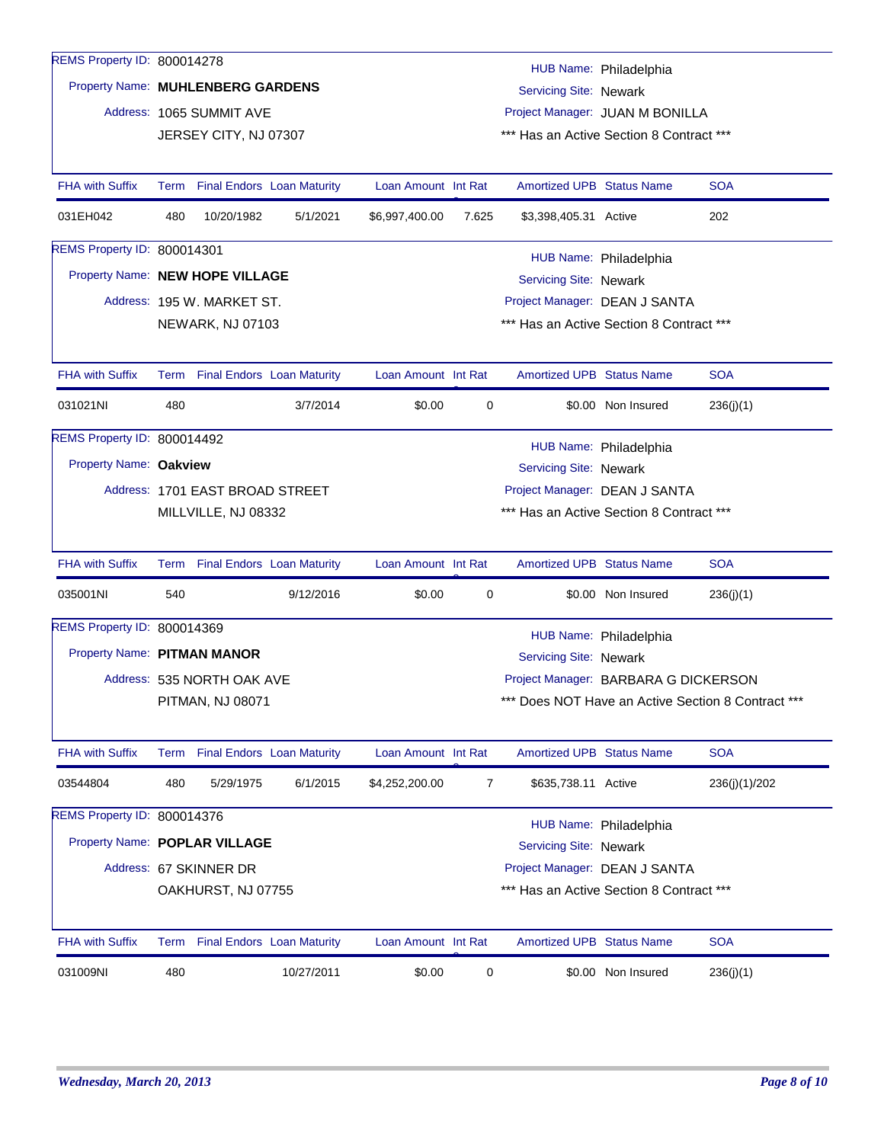| REMS Property ID: 800014278       |                                                           |                                                                                                                                     |                                   |                     |                |                                          | HUB Name: Philadelphia |                                                    |  |  |
|-----------------------------------|-----------------------------------------------------------|-------------------------------------------------------------------------------------------------------------------------------------|-----------------------------------|---------------------|----------------|------------------------------------------|------------------------|----------------------------------------------------|--|--|
| Property Name: MUHLENBERG GARDENS |                                                           |                                                                                                                                     |                                   |                     |                | Servicing Site: Newark                   |                        |                                                    |  |  |
|                                   |                                                           | Address: 1065 SUMMIT AVE                                                                                                            |                                   |                     |                | Project Manager: JUAN M BONILLA          |                        |                                                    |  |  |
|                                   |                                                           | JERSEY CITY, NJ 07307                                                                                                               |                                   |                     |                | *** Has an Active Section 8 Contract *** |                        |                                                    |  |  |
|                                   |                                                           |                                                                                                                                     |                                   |                     |                |                                          |                        |                                                    |  |  |
| <b>FHA with Suffix</b>            | Term                                                      |                                                                                                                                     | <b>Final Endors Loan Maturity</b> | Loan Amount Int Rat |                | <b>Amortized UPB Status Name</b>         |                        | <b>SOA</b>                                         |  |  |
| 031EH042                          | 480                                                       | 10/20/1982                                                                                                                          | 5/1/2021                          | \$6,997,400.00      | 7.625          | \$3,398,405.31 Active                    |                        | 202                                                |  |  |
| REMS Property ID: 800014301       |                                                           |                                                                                                                                     |                                   |                     |                |                                          | HUB Name: Philadelphia |                                                    |  |  |
|                                   | Property Name: NEW HOPE VILLAGE<br>Servicing Site: Newark |                                                                                                                                     |                                   |                     |                |                                          |                        |                                                    |  |  |
|                                   |                                                           | Address: 195 W. MARKET ST.                                                                                                          |                                   |                     |                | Project Manager: DEAN J SANTA            |                        |                                                    |  |  |
|                                   |                                                           | NEWARK, NJ 07103                                                                                                                    |                                   |                     |                | *** Has an Active Section 8 Contract *** |                        |                                                    |  |  |
|                                   |                                                           |                                                                                                                                     |                                   |                     |                |                                          |                        |                                                    |  |  |
| <b>FHA with Suffix</b>            |                                                           |                                                                                                                                     | Term Final Endors Loan Maturity   | Loan Amount Int Rat |                | <b>Amortized UPB Status Name</b>         |                        | <b>SOA</b>                                         |  |  |
| 031021NI                          | 480                                                       |                                                                                                                                     | 3/7/2014                          | \$0.00              | 0              |                                          | \$0.00 Non Insured     | 236(j)(1)                                          |  |  |
| REMS Property ID: 800014492       |                                                           |                                                                                                                                     |                                   |                     |                |                                          | HUB Name: Philadelphia |                                                    |  |  |
| Property Name: Oakview            |                                                           |                                                                                                                                     |                                   |                     |                | Servicing Site: Newark                   |                        |                                                    |  |  |
|                                   |                                                           |                                                                                                                                     |                                   |                     |                |                                          |                        |                                                    |  |  |
|                                   |                                                           | Project Manager: DEAN J SANTA<br>Address: 1701 EAST BROAD STREET<br>*** Has an Active Section 8 Contract ***<br>MILLVILLE, NJ 08332 |                                   |                     |                |                                          |                        |                                                    |  |  |
|                                   |                                                           |                                                                                                                                     |                                   |                     |                |                                          |                        |                                                    |  |  |
| <b>FHA with Suffix</b>            |                                                           |                                                                                                                                     | Term Final Endors Loan Maturity   | Loan Amount Int Rat |                | <b>Amortized UPB Status Name</b>         |                        | <b>SOA</b>                                         |  |  |
| 035001NI                          | 540                                                       |                                                                                                                                     | 9/12/2016                         | \$0.00              | 0              |                                          | \$0.00 Non Insured     | 236(j)(1)                                          |  |  |
| REMS Property ID: 800014369       |                                                           |                                                                                                                                     |                                   |                     |                |                                          | HUB Name: Philadelphia |                                                    |  |  |
| Property Name: PITMAN MANOR       |                                                           |                                                                                                                                     |                                   |                     |                | Servicing Site: Newark                   |                        |                                                    |  |  |
|                                   |                                                           | Address: 535 NORTH OAK AVE                                                                                                          |                                   |                     |                | Project Manager: BARBARA G DICKERSON     |                        |                                                    |  |  |
|                                   |                                                           | PITMAN, NJ 08071                                                                                                                    |                                   |                     |                |                                          |                        | *** Does NOT Have an Active Section 8 Contract *** |  |  |
|                                   |                                                           |                                                                                                                                     |                                   |                     |                |                                          |                        |                                                    |  |  |
| <b>FHA with Suffix</b>            |                                                           |                                                                                                                                     | Term Final Endors Loan Maturity   | Loan Amount Int Rat |                | Amortized UPB Status Name                |                        | <b>SOA</b>                                         |  |  |
| 03544804                          | 480                                                       | 5/29/1975                                                                                                                           | 6/1/2015                          | \$4,252,200.00      | $\overline{7}$ | \$635,738.11 Active                      |                        | 236(j)(1)/202                                      |  |  |
| REMS Property ID: 800014376       |                                                           |                                                                                                                                     |                                   |                     |                |                                          | HUB Name: Philadelphia |                                                    |  |  |
| Property Name: POPLAR VILLAGE     |                                                           |                                                                                                                                     |                                   |                     |                | Servicing Site: Newark                   |                        |                                                    |  |  |
|                                   |                                                           | Address: 67 SKINNER DR                                                                                                              |                                   |                     |                | Project Manager: DEAN J SANTA            |                        |                                                    |  |  |
|                                   |                                                           | OAKHURST, NJ 07755                                                                                                                  |                                   |                     |                | *** Has an Active Section 8 Contract *** |                        |                                                    |  |  |
|                                   |                                                           |                                                                                                                                     |                                   |                     |                |                                          |                        |                                                    |  |  |
| <b>FHA with Suffix</b>            |                                                           |                                                                                                                                     | Term Final Endors Loan Maturity   | Loan Amount Int Rat |                | <b>Amortized UPB Status Name</b>         |                        | <b>SOA</b>                                         |  |  |
| 031009NI                          | 480                                                       |                                                                                                                                     | 10/27/2011                        | \$0.00              | 0              |                                          | \$0.00 Non Insured     | 236(j)(1)                                          |  |  |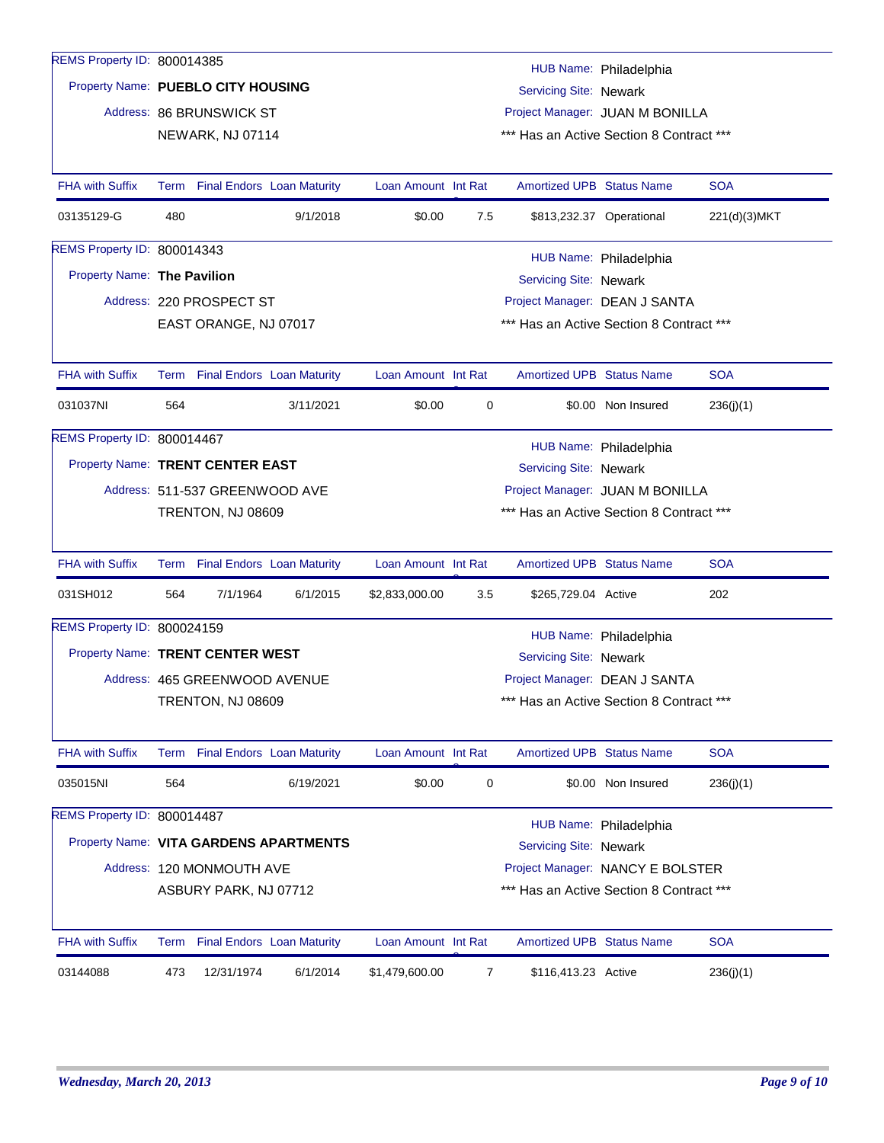| REMS Property ID: 800014385            |     |                                 |           |                     |     |                                                         |                          |              |  |
|----------------------------------------|-----|---------------------------------|-----------|---------------------|-----|---------------------------------------------------------|--------------------------|--------------|--|
| Property Name: PUEBLO CITY HOUSING     |     |                                 |           |                     |     | Servicing Site: Newark                                  | HUB Name: Philadelphia   |              |  |
|                                        |     | Address: 86 BRUNSWICK ST        |           |                     |     | Project Manager: JUAN M BONILLA                         |                          |              |  |
|                                        |     | NEWARK, NJ 07114                |           |                     |     | *** Has an Active Section 8 Contract ***                |                          |              |  |
|                                        |     |                                 |           |                     |     |                                                         |                          |              |  |
| <b>FHA with Suffix</b>                 |     | Term Final Endors Loan Maturity |           | Loan Amount Int Rat |     | <b>Amortized UPB Status Name</b>                        |                          | <b>SOA</b>   |  |
| 03135129-G                             | 480 |                                 | 9/1/2018  | \$0.00              | 7.5 |                                                         | \$813,232.37 Operational | 221(d)(3)MKT |  |
| REMS Property ID: 800014343            |     |                                 |           |                     |     |                                                         | HUB Name: Philadelphia   |              |  |
| Property Name: The Pavilion            |     |                                 |           |                     |     | <b>Servicing Site: Newark</b>                           |                          |              |  |
|                                        |     | Address: 220 PROSPECT ST        |           |                     |     | Project Manager: DEAN J SANTA                           |                          |              |  |
|                                        |     | EAST ORANGE, NJ 07017           |           |                     |     | *** Has an Active Section 8 Contract ***                |                          |              |  |
|                                        |     |                                 |           |                     |     |                                                         |                          |              |  |
| <b>FHA with Suffix</b>                 |     | Term Final Endors Loan Maturity |           | Loan Amount Int Rat |     | <b>Amortized UPB Status Name</b>                        |                          | <b>SOA</b>   |  |
| 031037NI                               | 564 |                                 | 3/11/2021 | \$0.00              | 0   |                                                         | \$0.00 Non Insured       | 236(j)(1)    |  |
| REMS Property ID: 800014467            |     |                                 |           |                     |     |                                                         | HUB Name: Philadelphia   |              |  |
| Property Name: TRENT CENTER EAST       |     |                                 |           |                     |     | Servicing Site: Newark                                  |                          |              |  |
|                                        |     | Address: 511-537 GREENWOOD AVE  |           |                     |     | Project Manager: JUAN M BONILLA                         |                          |              |  |
|                                        |     | TRENTON, NJ 08609               |           |                     |     | *** Has an Active Section 8 Contract ***                |                          |              |  |
|                                        |     |                                 |           |                     |     |                                                         |                          |              |  |
| <b>FHA with Suffix</b>                 |     | Term Final Endors Loan Maturity |           | Loan Amount Int Rat |     | <b>Amortized UPB Status Name</b>                        |                          | <b>SOA</b>   |  |
| 031SH012                               | 564 | 7/1/1964                        | 6/1/2015  | \$2,833,000.00      | 3.5 | \$265,729.04 Active                                     |                          | 202          |  |
| REMS Property ID: 800024159            |     |                                 |           |                     |     |                                                         |                          |              |  |
| Property Name: TRENT CENTER WEST       |     |                                 |           |                     |     | HUB Name: Philadelphia<br><b>Servicing Site: Newark</b> |                          |              |  |
|                                        |     | Address: 465 GREENWOOD AVENUE   |           |                     |     | Project Manager: DEAN J SANTA                           |                          |              |  |
|                                        |     | TRENTON, NJ 08609               |           |                     |     | *** Has an Active Section 8 Contract ***                |                          |              |  |
|                                        |     |                                 |           |                     |     |                                                         |                          |              |  |
| FHA with Suffix                        |     | Term Final Endors Loan Maturity |           | Loan Amount Int Rat |     | Amortized UPB Status Name                               |                          | <b>SOA</b>   |  |
| 035015NI                               | 564 |                                 | 6/19/2021 | \$0.00              | 0   |                                                         | \$0.00 Non Insured       | 236(j)(1)    |  |
| REMS Property ID: 800014487            |     |                                 |           |                     |     |                                                         | HUB Name: Philadelphia   |              |  |
| Property Name: VITA GARDENS APARTMENTS |     |                                 |           |                     |     | Servicing Site: Newark                                  |                          |              |  |
|                                        |     | Address: 120 MONMOUTH AVE       |           |                     |     | Project Manager: NANCY E BOLSTER                        |                          |              |  |
|                                        |     | ASBURY PARK, NJ 07712           |           |                     |     | *** Has an Active Section 8 Contract ***                |                          |              |  |
|                                        |     |                                 |           |                     |     |                                                         |                          |              |  |
| <b>FHA with Suffix</b>                 |     | Term Final Endors Loan Maturity |           | Loan Amount Int Rat |     | <b>Amortized UPB Status Name</b>                        |                          | <b>SOA</b>   |  |
| 03144088                               | 473 | 12/31/1974                      | 6/1/2014  | \$1,479,600.00      | 7   | \$116,413.23 Active                                     |                          | 236(j)(1)    |  |